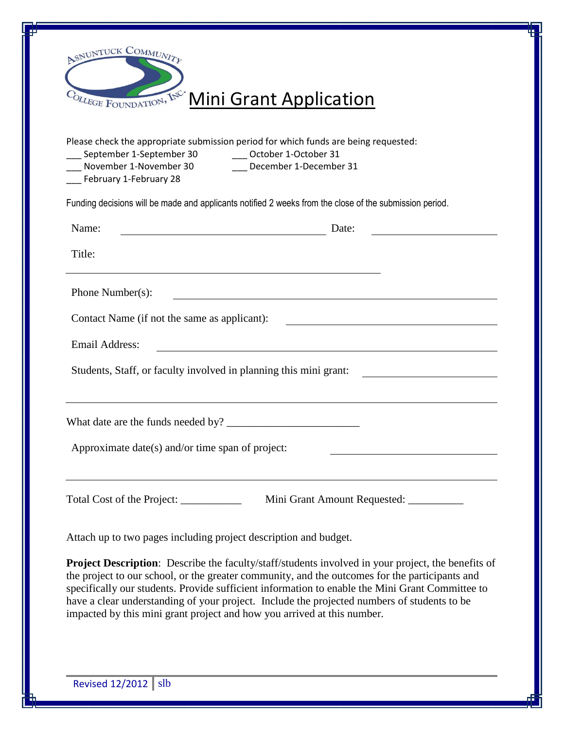| ASNUNTUCK COMMUNITY<br>COLLEGE FOUNDATION, INC.<br><b>Mini Grant Application</b><br>Please check the appropriate submission period for which funds are being requested:<br>September 1-September 30 October 1-October 31<br>___ November 1-November 30<br>December 1-December 31<br>February 1-February 28 |                                                                                                                                                                                                                                                                                                                                                                                                                                                                                          |
|------------------------------------------------------------------------------------------------------------------------------------------------------------------------------------------------------------------------------------------------------------------------------------------------------------|------------------------------------------------------------------------------------------------------------------------------------------------------------------------------------------------------------------------------------------------------------------------------------------------------------------------------------------------------------------------------------------------------------------------------------------------------------------------------------------|
|                                                                                                                                                                                                                                                                                                            |                                                                                                                                                                                                                                                                                                                                                                                                                                                                                          |
| Name:                                                                                                                                                                                                                                                                                                      | Date:<br><u> 1980 - Johann Barn, mars ar breist fan de Amerikaansk kommunent fan de Amerikaanske kommunent fan de Amerikaa</u>                                                                                                                                                                                                                                                                                                                                                           |
| Title:                                                                                                                                                                                                                                                                                                     |                                                                                                                                                                                                                                                                                                                                                                                                                                                                                          |
| Phone Number(s):                                                                                                                                                                                                                                                                                           |                                                                                                                                                                                                                                                                                                                                                                                                                                                                                          |
| Contact Name (if not the same as applicant):                                                                                                                                                                                                                                                               |                                                                                                                                                                                                                                                                                                                                                                                                                                                                                          |
| <b>Email Address:</b>                                                                                                                                                                                                                                                                                      | <u> 1980 - Johann Barbara, martxa amerikan bashkar (</u>                                                                                                                                                                                                                                                                                                                                                                                                                                 |
|                                                                                                                                                                                                                                                                                                            | Students, Staff, or faculty involved in planning this mini grant:                                                                                                                                                                                                                                                                                                                                                                                                                        |
|                                                                                                                                                                                                                                                                                                            |                                                                                                                                                                                                                                                                                                                                                                                                                                                                                          |
|                                                                                                                                                                                                                                                                                                            | Approximate date(s) and/or time span of project:                                                                                                                                                                                                                                                                                                                                                                                                                                         |
| Total Cost of the Project: ______________                                                                                                                                                                                                                                                                  | Mini Grant Amount Requested: ___________                                                                                                                                                                                                                                                                                                                                                                                                                                                 |
|                                                                                                                                                                                                                                                                                                            | Attach up to two pages including project description and budget.                                                                                                                                                                                                                                                                                                                                                                                                                         |
|                                                                                                                                                                                                                                                                                                            | <b>Project Description:</b> Describe the faculty/staff/students involved in your project, the benefits of<br>the project to our school, or the greater community, and the outcomes for the participants and<br>specifically our students. Provide sufficient information to enable the Mini Grant Committee to<br>have a clear understanding of your project. Include the projected numbers of students to be<br>impacted by this mini grant project and how you arrived at this number. |
|                                                                                                                                                                                                                                                                                                            |                                                                                                                                                                                                                                                                                                                                                                                                                                                                                          |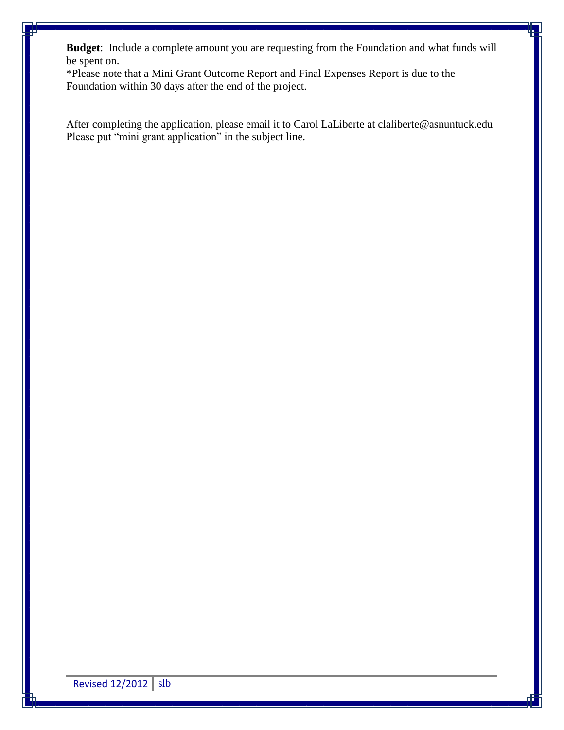**Budget**: Include a complete amount you are requesting from the Foundation and what funds will be spent on.

\*Please note that a Mini Grant Outcome Report and Final Expenses Report is due to the Foundation within 30 days after the end of the project.

After completing the application, please email it to Carol LaLiberte at claliberte@asnuntuck.edu Please put "mini grant application" in the subject line.